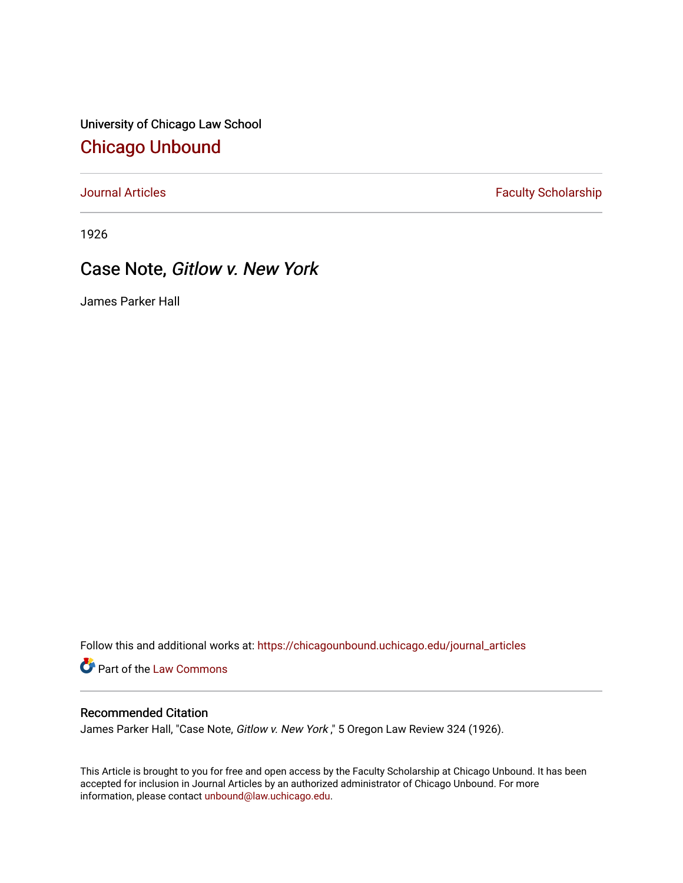University of Chicago Law School [Chicago Unbound](https://chicagounbound.uchicago.edu/)

[Journal Articles](https://chicagounbound.uchicago.edu/journal_articles) **Faculty Scholarship Faculty Scholarship** 

1926

# Case Note, Gitlow v. New York

James Parker Hall

Follow this and additional works at: [https://chicagounbound.uchicago.edu/journal\\_articles](https://chicagounbound.uchicago.edu/journal_articles?utm_source=chicagounbound.uchicago.edu%2Fjournal_articles%2F8982&utm_medium=PDF&utm_campaign=PDFCoverPages) 

Part of the [Law Commons](http://network.bepress.com/hgg/discipline/578?utm_source=chicagounbound.uchicago.edu%2Fjournal_articles%2F8982&utm_medium=PDF&utm_campaign=PDFCoverPages)

#### Recommended Citation

James Parker Hall, "Case Note, Gitlow v. New York," 5 Oregon Law Review 324 (1926).

This Article is brought to you for free and open access by the Faculty Scholarship at Chicago Unbound. It has been accepted for inclusion in Journal Articles by an authorized administrator of Chicago Unbound. For more information, please contact [unbound@law.uchicago.edu](mailto:unbound@law.uchicago.edu).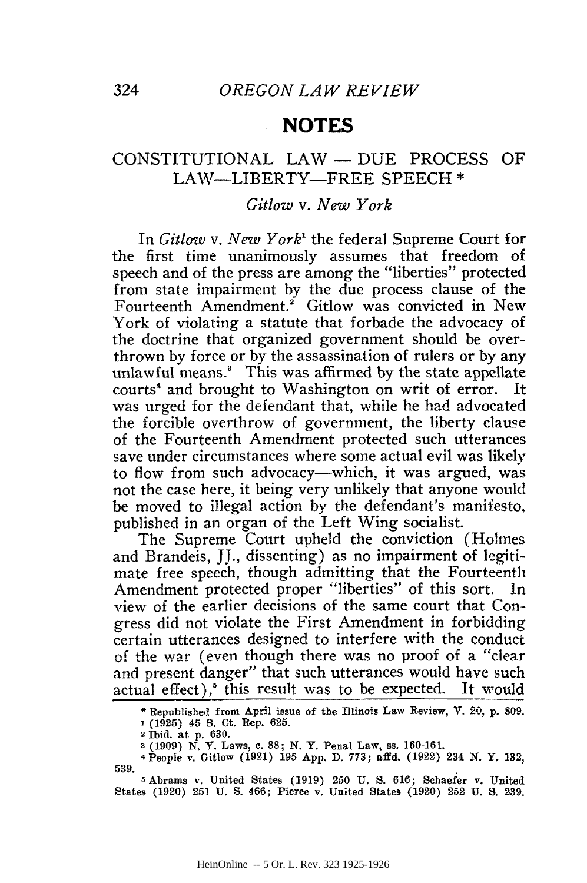### **NOTES**

## CONSTITUTIONAL LAW- DUE PROCESS OF LAIW-LIBERTY-FREE SPEECH **\***

#### *Gitlow v. New York*

In *Gitlow v. New York'* the federal Supreme Court for the first time unanimously assumes that freedom of speech and of the press are among the "liberties" protected from state impairment **by** the due process clause of the Fourteenth Amendment.<sup>2</sup> Gitlow was convicted in New York of violating a statute that forbade the advocacy of the doctrine that organized government should be overthrown **by** force or **by** the assassination of rulers or **by** any unlawful means.' This was affirmed **by** the state appellate courts<sup>4</sup> and brought to Washington on writ of error. It was urged for the defendant that, while he had advocated the forcible overthrow of government, the liberty clause of the Fourteenth Amendment protected such utterances save under circumstances where some actual evil was likely to flow from such advocacy—which, it was argued, was not the case here, it being very unlikely that anyone would be moved to illegal action by the defendant's manifesto, published in an organ of the Left Wing socialist.

The Supreme Court upheld the conviction (Holmes and Brandeis, JJ., dissenting) as no impairment of legitimate free speech, though admitting that the Fourteenth Amendment protected proper "liberties" of this sort. In view of the earlier decisions of the same court that Congress did not violate the First Amendment in forbidding certain utterances designed to interfere with the conduct of the war (even though there was no proof of a "clear and present danger" that such utterances would have such actual effect),<sup>6</sup> this result was to be expected. It would

Republished from **April issue of the** Illinois **Law** Review, **V.** 20, **p. 809.**

**<sup>1 (1925)</sup>** 45 **S.** Ot. Rep. **625.**

<sup>2</sup> Ibid. **at p. 630.**

**a (1909) N. Y.** Laws, **e. 88; N.** Y. **Penal** Law, **ss. 160-161.**

<sup>4</sup> People v. Gitlow **(1921) 195 App. D. 773; affd. (1922) 234 N. Y. 132, 539.**

**<sup>5</sup>** Abrams v. United States **(1919) 250 U. S. 616; Schaefer v.** United States **(1920) 251 U. S.** 466; Pierce v. United **States (1920) 252 U. S. 239.**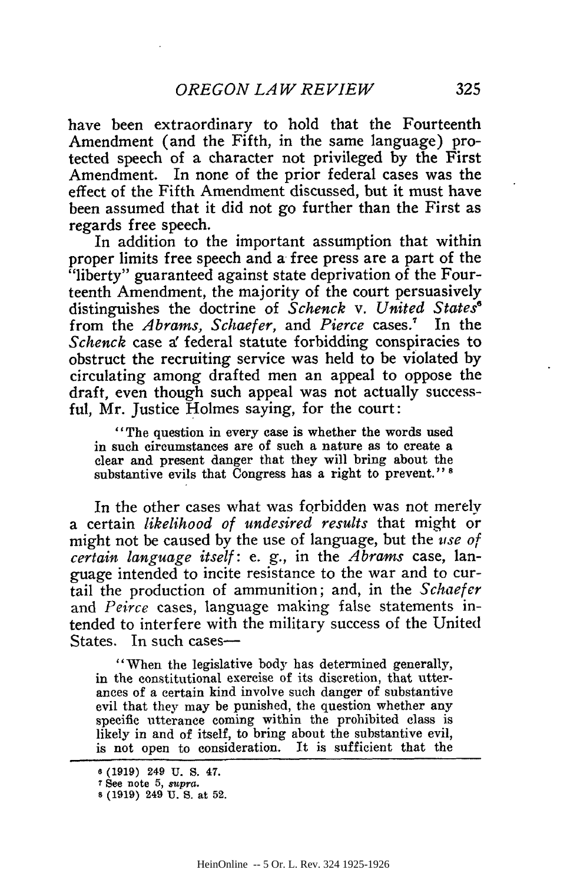have been extraordinary to hold that the Fourteenth Amendment (and the Fifth, in the same language) protected speech of a character not privileged by the First Amendment. In none of the prior federal cases was the effect of the Fifth Amendment discussed, but it must have been assumed that it did not go further than the First as regards free speech.

In addition to the important assumption that within proper limits free speech and a free press are a part of the "liberty" guaranteed against state deprivation of the Fourteenth Amendment, the majority of the court persuasively distinguishes the doctrine of *Schenck v. United States6* from the *Abrams, Schaefer,* and Pierce cases.<sup>7</sup> In the *Schenck* case a' federal statute forbidding conspiracies to obstruct the recruiting service was held to be violated by circulating among drafted men an appeal to oppose the draft, even though such appeal was not actually successful, Mr. Justice Holmes saying, for the court:

"The question in every case is whether the words used in such circumstances are of such a nature as to create a clear and present danger that they will bring about the substantive evils that Congress has a right to prevent." **<sup>8</sup>**

In the other cases what was forbidden was not merely a certain *likelihood of undesired results* that might or might not be caused by the use of language, but the *use of certain language itself:* e. g., in the *A brams* case, language intended to incite resistance to the war and to curtail the production of ammunition; and, in the *Schaefer* and *Peirce* cases, language making false statements intended to interfere with the military success of the United States. In such cases-

"When the legislative body has determined generally, in the constitutional exercise of its discretion, that utterances of a certain kind involve such danger of substantive evil that they may be punished, the question whether any specific utterance coming within the prohibited class is likely in and of itself, to bring about the substantive evil, is not open to consideration. It is sufficient that the

**<sup>6</sup>** (1919) 249 U. **S.** 47.

**<sup>7</sup>See** note 5, *supra.* <sup>s</sup>(1919) 249 **U. S.** at 52.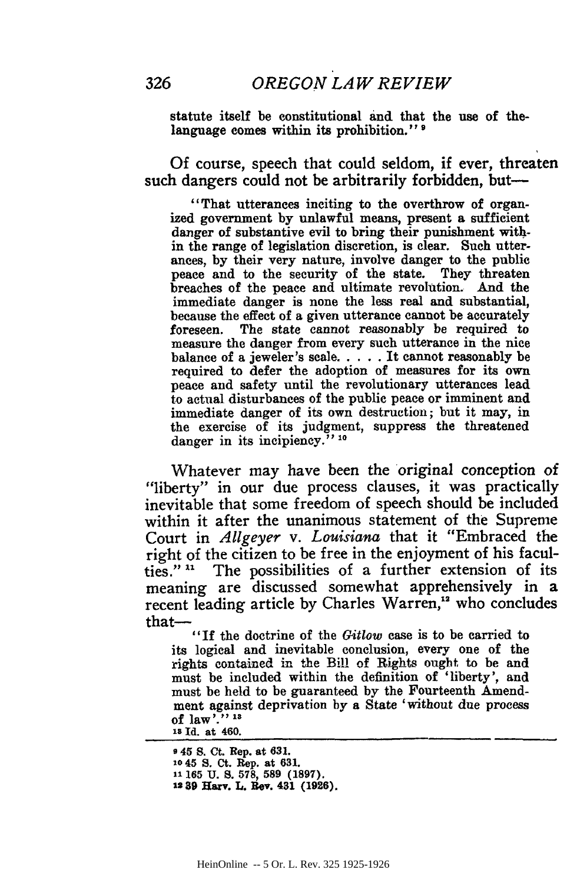statute itself be constitutional and that the use of thelanguage comes within its prohibition."<sup>9</sup>

Of course, speech that could seldom, if ever, threaten such dangers could not be arbitrarily forbidden, but-

"That utterances inciting to the overthrow of organized government **by** unlawful means, present a sufficient danger of substantive evil to bring their punishment within the range of legislation discretion, is clear. Such utterances, **by** their very nature, involve danger to the public peace and to the security of the state. They threaten breaches of the peace and ultimate revolution. **And** the immediate danger is none the less real and substantial, because the effect of a given utterance cannot be accurately foreseen. The state cannot reasonably be required to measure the danger from every such utterance in the nice balance of a jeweler's scale..... It cannot reasonably be required to defer the adoption of measures for its own peace and safety until the revolutionary utterances lead to actual disturbances of the public peace or imminent and immediate danger of its own destruction; but it may, in the exercise of its judgment, suppress the threatened danger in its incipiency.<sup>77</sup> <sup>10</sup>

Whatever may have been the original conception of "liberty" in our due process clauses, it was practically inevitable that some freedom of speech should be included within it after the unanimous statement of the Supreme Court in *Allgeyer v. Louisiana* that it "Embraced the right of the citizen to be free in the enjoyment of his facul-<br>ties." " The possibilities of a further extension of its The possibilities of a further extension of its meaning are discussed somewhat apprehensively in a recent leading article **by** Charles Warren,"2 who concludes

that— $"$  "If the doctrine of the  $Gitlow$  case is to be carried to its logical and inevitable conclusion, every one of the rights contained **in** the Bill of Rights ought to be and must be included within the definition of 'liberty', and must be held to be guaranteed **by** the Fourteenth Amendment against deprivation **by** a State 'without due process of law **." .. is Id. at 460.**

**9 45 S. Ct. Rep. at 631. 10 45 S. Ct. Rep. at 631. 11 165 U. 8. 578, 589 (1897). 12 \$9 Harv. L. Rev. 431 (1926).**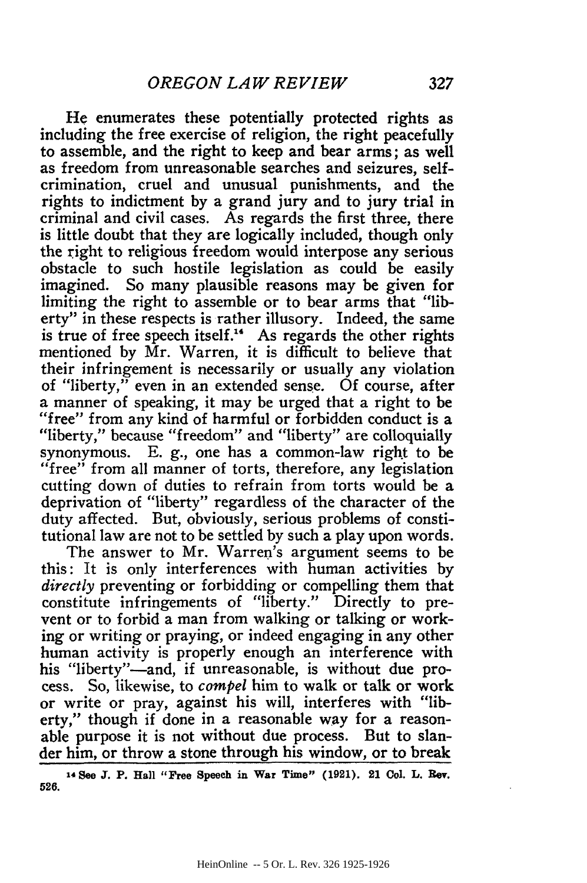He enumerates these potentially protected rights as including the free exercise of religion, the right peacefully to assemble, and the right to keep and bear arms; as well as freedom from unreasonable searches and seizures, selfcrimination, cruel and unusual punishments, and the rights to indictment **by** a grand jury and to jury trial in criminal and civil cases. As regards the first three, there is little doubt that they are logically included, though only the right to religious freedom would interpose any serious obstacle to such hostile legislation as could be easily imagined. So many plausible reasons may be given for limiting the right to assemble or to bear arms that "liberty" in these respects is rather illusory. Indeed, the same is true of free speech itself." As regards the other rights mentioned **by** Mr. Warren, it is difficult to believe that their infringement is necessarily or usually any violation of "liberty," even in an extended sense. Of course, after a manner of speaking, it may be urged that a right to be "free" from any kind of harmful or forbidden conduct is a "liberty," because "freedom" and "liberty" are colloquially synonymous. E. **g.,** one has a common-law right to be "free" from all manner of torts, therefore, any legislation cutting down of duties to refrain from torts would be a deprivation of "liberty" regardless of the character of the duty affected. But, obviously, serious problems of constitutional law are not to be settled **by** such a play upon words.

The answer to Mr. Warren's argument seems to be this: It is only interferences with human activities **by** *directly* preventing or forbidding or compelling them that constitute infringements of "liberty." Directly to prevent or to forbid a man from walking or talking or working or writing or praying, or indeed engaging in any other human activity is properly enough an interference with his "liberty"-and, if unreasonable, is without due process. So, likewise, to *compel* him to walk or talk or work or write or pray, against his will, interferes with "liberty," though if done in a reasonable way for a reasonable purpose it is not without due process. But to slander him, or throw a stone through his window, or to break

**<sup>14</sup>See J. P. Hall "Free Speech in War Time" (1921). 21 Col. L. Rev.** 526.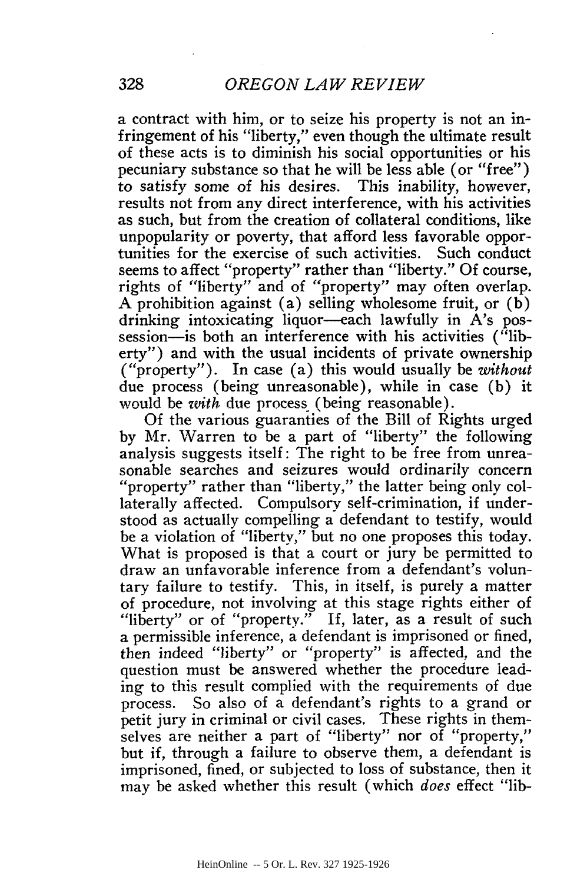a contract with him, or to seize his property is not an infringement of his "liberty," even though the ultimate result of these acts is to diminish his social opportunities or his pecuniary substance so that he will be less able (or "free") to satisfy some of his desires. This inability, however, results not from any direct interference, with his activities as such, but from the creation of collateral conditions, like unpopularity or poverty, that afford less favorable opportunities for the exercise of such activities. seems to affect "property" rather than "liberty." **Of** course, rights of "liberty" and of "property" may often overlap. A prohibition against (a) selling wholesome fruit, or  $(b)$ drinking intoxicating liquor-each lawfully in A's possession—is both an interference with his activities ("liberty") and with the usual incidents of private ownership ("property"). In case (a) this would usually be *without* due process (being unreasonable), while in case (b) it would be *with* due process (being reasonable).

Of the various guaranties of the Bill of Rights urged by Mr. Warren to be a part of "liberty" the following analysis suggests itself: The right to be free from unreasonable searches and seizures would ordinarily concern "property" rather than "liberty," the latter being only collaterally affected. Compulsory self-crimination, if understood as actually compelling a defendant to testify, would be a violation of "liberty," but no one proposes this today. What is proposed is that a court or jury be permitted to draw an unfavorable inference from a defendant's voluntary failure to testify. This, in itself, is purely a matter of procedure, not involving at this stage rights either of "liberty" or of "property." If, later, as a result of such a permissible inference, a defendant is imprisoned or fined, then indeed "liberty" or "property" is affected, and the question must be answered whether the procedure leading to this result complied with the requirements of due process. So also of a defendant's rights to a grand or petit jury in criminal or civil cases. These rights in themselves are neither a part of "liberty" nor of "property," but if, through a failure to observe them, a defendant is imprisoned, fined, or subjected to loss of substance, then it may be asked whether this result (which *does* effect "lib-